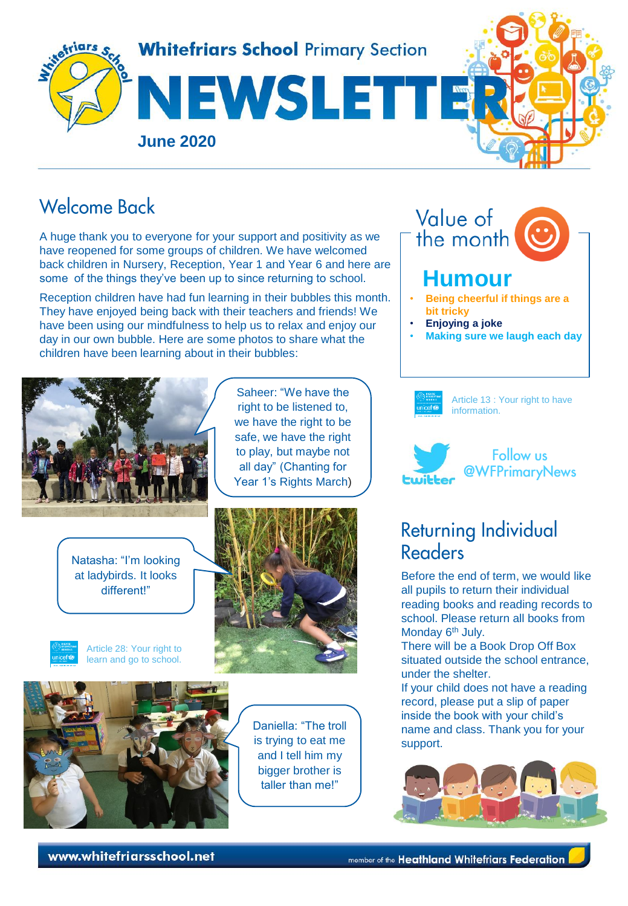

## Welcome Back

A huge thank you to everyone for your support and positivity as we have reopened for some groups of children. We have welcomed back children in Nursery, Reception, Year 1 and Year 6 and here are some of the things they've been up to since returning to school.

Reception children have had fun learning in their bubbles this month. They have enjoyed being back with their teachers and friends! We have been using our mindfulness to help us to relax and enjoy our day in our own bubble. Here are some photos to share what the children have been learning about in their bubbles:



Natasha: "I'm looking at ladybirds. It looks different!"



Article 28: Your right to learn and go to school.



Saheer: "We have the right to be listened to, we have the right to be safe, we have the right to play, but maybe not all day" (Chanting for Year 1's Rights March)



Daniella: "The troll is trying to eat me and I tell him my bigger brother is taller than me!"

Value of the month  **Humour** • **Being cheerful if things are a bit tricky**

- **Enjoying a joke**
- **Making sure we laugh each day**



Article 13 : Your right to have information.



## **Returning Individual** Readers

Before the end of term, we would like all pupils to return their individual reading books and reading records to school. Please return all books from Monday 6<sup>th</sup> July.

There will be a Book Drop Off Box situated outside the school entrance, under the shelter.

If your child does not have a reading record, please put a slip of paper inside the book with your child's name and class. Thank you for your support.



www.whitefriarsschool.net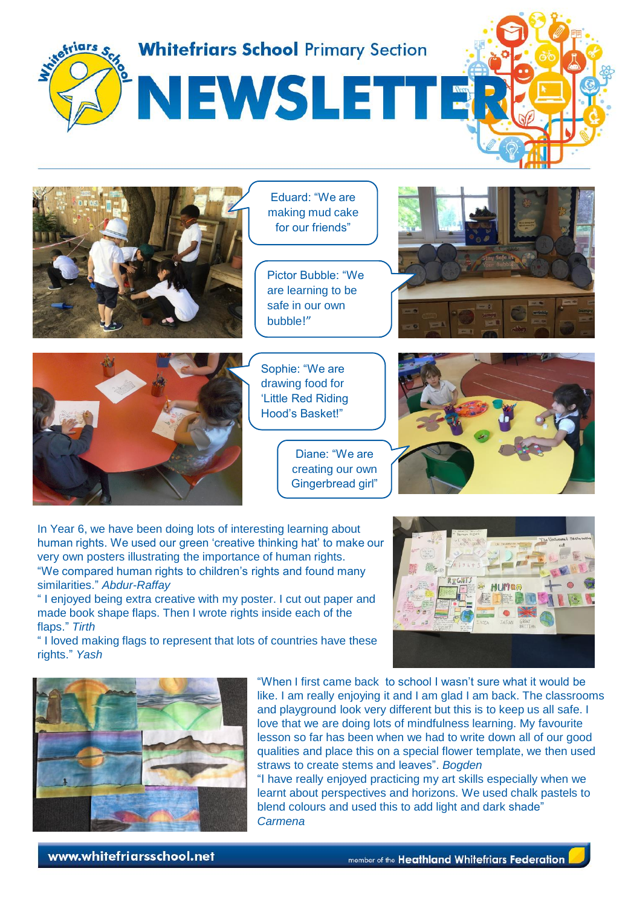

Diane: "We are creating our own Gingerbread girl"

In Year 6, we have been doing lots of interesting learning about human rights. We used our green 'creative thinking hat' to make our very own posters illustrating the importance of human rights. "We compared human rights to children's rights and found many similarities." *Abdur-Raffay*

" I enjoyed being extra creative with my poster. I cut out paper and made book shape flaps. Then I wrote rights inside each of the flaps." *Tirth*

" I loved making flags to represent that lots of countries have these rights." *Yash*



"When I first came back to school I wasn't sure what it would be like. I am really enjoying it and I am glad I am back. The classrooms and playground look very different but this is to keep us all safe. I love that we are doing lots of mindfulness learning. My favourite lesson so far has been when we had to write down all of our good qualities and place this on a special flower template, we then used straws to create stems and leaves". *Bogden*

"I have really enjoyed practicing my art skills especially when we learnt about perspectives and horizons. We used chalk pastels to blend colours and used this to add light and dark shade" *Carmena*

www.whitefriarsschool.net